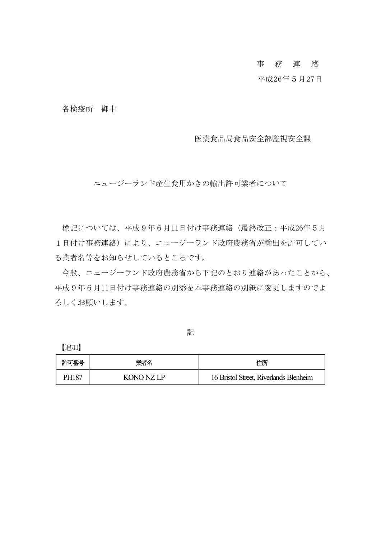## 事 務 連 絡

## 平成26年5月27日

各検疫所 御中

医薬食品局食品安全部監視安全課

ニュージーランド産生食用かきの輸出許可業者について

標記については、平成9年6月11日付け事務連絡(最終改正:平成26年5月 1日付け事務連絡)により、ニュージーランド政府農務省が輸出を許可してい る業者名等をお知らせしているところです。

今般、ニュージーランド政府農務省から下記のとおり連絡があったことから、 平成9年6月11日付け事務連絡の別添を本事務連絡の別紙に変更しますのでよ ろしくお願いします。

記

【追加】

| 許可番号  | 業者名        | 住所                                     |
|-------|------------|----------------------------------------|
| PH187 | KONO NZ LP | 16 Bristol Street, Riverlands Blenheim |